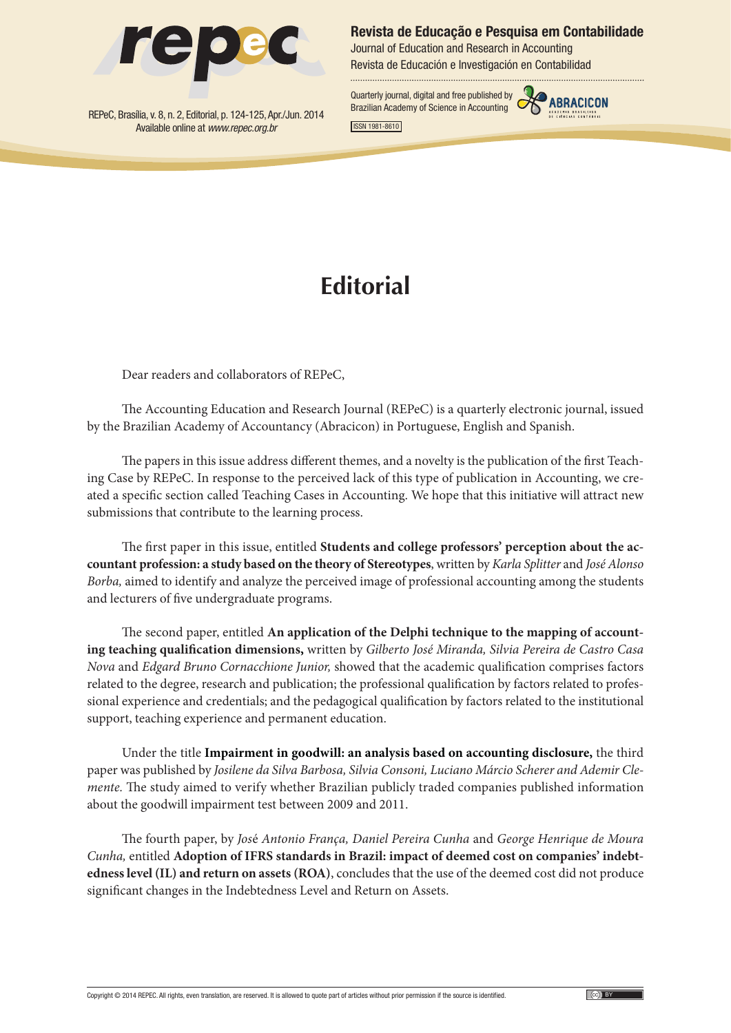

REPeC, Brasília, v. 8, n. 2, Editorial, p. 124-125, Apr./Jun. 2014 Available online at *www.repec.org.br*

**Revista de Educação e Pesquisa em Contabilidade**

Journal of Education and Research in Accounting Revista de Educación e Investigación en Contabilidad

Quarterly journal, digital and free published by **CABRACICON**<br>Brazilian Academy of Science in Accounting



ISSN 1981-8610

## **Editorial**

Dear readers and collaborators of REPeC,

The Accounting Education and Research Journal (REPeC) is a quarterly electronic journal, issued by the Brazilian Academy of Accountancy (Abracicon) in Portuguese, English and Spanish.

The papers in this issue address different themes, and a novelty is the publication of the first Teaching Case by REPeC. In response to the perceived lack of this type of publication in Accounting, we created a specific section called Teaching Cases in Accounting. We hope that this initiative will attract new submissions that contribute to the learning process.

The first paper in this issue, entitled **Students and college professors' perception about the accountant profession: a study based on the theory of Stereotypes**, written by *Karla Splitter* and *José Alonso Borba,* aimed to identify and analyze the perceived image of professional accounting among the students and lecturers of five undergraduate programs.

The second paper, entitled **An application of the Delphi technique to the mapping of accounting teaching qualification dimensions,** written by *Gilberto José Miranda, Silvia Pereira de Castro Casa Nova* and *Edgard Bruno Cornacchione Junior,* showed that the academic qualification comprises factors related to the degree, research and publication; the professional qualification by factors related to professional experience and credentials; and the pedagogical qualification by factors related to the institutional support, teaching experience and permanent education.

Under the title **[Impairment in goodwill: an analysis based on accounting disclosure](http://www.repec.org.br/index.php/repec/article/view/1028),** the third paper was published by *Josilene da Silva Barbosa, Silvia Consoni, Luciano Márcio Scherer and Ademir Clemente.* The study aimed to verify whether Brazilian publicly traded companies published information about the goodwill impairment test between 2009 and 2011.

The fourth paper, by *Jos*é *Antonio França, Daniel Pereira Cunha* and *George Henrique de Moura Cunha,* entitled **Adoption of IFRS standards in Brazil: impact of deemed cost on companies' indebtedness level (IL) and return on assets (ROA)**, concludes that the use of the deemed cost did not produce significant changes in the Indebtedness Level and Return on Assets.